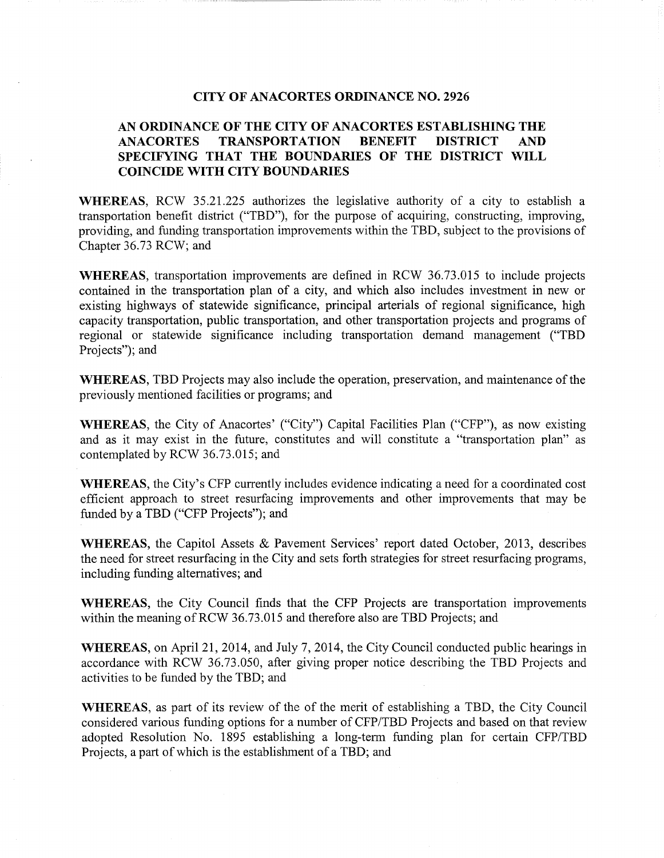# **CITY OF ANACORTES ORDINANCE NO. 2926**

# **AN ORDINANCE OF THE CITY OF ANACORTES ESTABLISHING THE ANACORTES TRANSPORTATION BENEFIT DISTRICT AND SPECIFYING THAT THE BOUNDARIES OF THE DISTRICT WILL COINCIDE WITH CITY BOUNDARIES**

**WHEREAS,** RCW 35.21.225 authorizes the legislative authority of a city to establish a transportation benefit district ("TBD"), for the purpose of acquiring, constructing, improving, providing, and funding transportation improvements within the TBD, subject to the provisions of Chapter 36.73 RCW; and

**WHEREAS,** transportation improvements are defined in RCW 36.73.015 to include projects contained in the transportation plan of a city, and which also includes investment in new or existing highways of statewide significance, principal arterials of regional significance, high capacity transportation, public transportation, and other transportation projects and programs of regional or statewide significance including transportation demand management ("TBD Projects"); and

**WHEREAS,** TBD Projects may also include the operation, preservation, and maintenance of the previously mentioned facilities or programs; and

**WHEREAS,** the City of Anacortes' ("City") Capital Facilities Plan ("CFP"), as now existing and as it may exist in the future, constitutes and will constitute a "transportation plan" as contemplated by RCW 36.73.015; and

**WHEREAS,** the City's CFP currently includes evidence indicating a need for a coordinated cost efficient approach to street resurfacing improvements and other improvements that may be funded by a TBD ("CFP Projects"); and

**WHEREAS,** the Capitol Assets & Pavement Services' report dated October, 2013, describes the need for street resurfacing in the City and sets forth strategies for street resurfacing programs, including funding alternatives; and

**WHEREAS,** the City Council finds that the CFP Projects are transportation improvements within the meaning of RCW 36.73.015 and therefore also are TBD Projects; and

**WHEREAS,** on April21, 2014, and July 7, 2014, the City Council conducted public hearings in accordance with RCW 36.73.050, after giving proper notice describing the TBD Projects and activities to be funded by the TBD; and

**WHEREAS,** as part of its review of the of the merit of establishing a TBD, the City Council considered various funding options for a number of CFP/TBD Projects and based on that review adopted Resolution No. 1895 establishing a long-term funding plan for certain CFP/TBD Projects, a part of which is the establishment of a TBD; and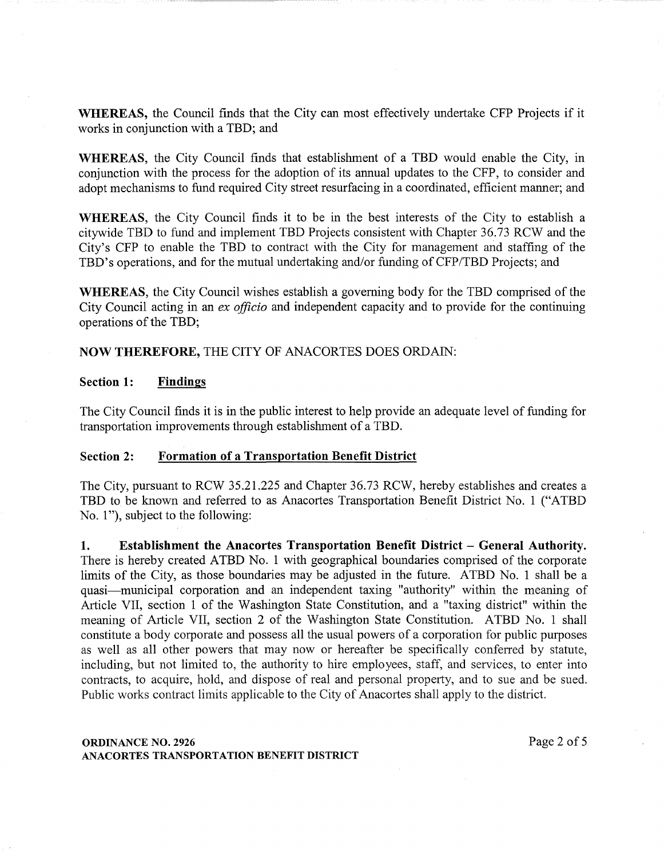WHEREAS, the Council finds that the City can most effectively undertake CFP Projects if it works in conjunction with a TBD; and

WHEREAS, the City Council finds that establishment of a TBD would enable the City, in conjunction with the process for the adoption of its annual updates to the CFP, to consider and adopt mechanisms to fund required City street resurfacing in a coordinated, efficient manner; and

WHEREAS, the City Council finds it to be in the best interests of the City to establish a citywide TBD to fund and implement TBD Projects consistent with Chapter 36.73 RCW and the City's CFP to enable the TBD to contract with the City for management and staffing of the TBD's operations, and for the mutual undertaking and/or funding of CFP/TBD Projects; and

WHEREAS, the City Council wishes establish a governing body for the TBD comprised of the City Council acting in an *ex officio* and independent capacity and to provide for the continuing operations of the TBD;

NOW THEREFORE, THE CITY OF ANACORTES DOES ORDAIN:

# Section 1: Findings

The City Council finds it is in the public interest to help provide an adequate level of funding for transportation improvements through establishment of a TBD.

### Section 2: Formation of a Transportation Benefit District

The City, pursuant to RCW 35.21.225 and Chapter 36.73 RCW, hereby establishes and creates a TBD to be known and referred to as Anacortes Transportation Benefit District No. 1 ("ATBD No. 1"), subject to the following:

1. Establishment the Anacortes Transportation Benefit District- General Authority. There is hereby created ATBD No. 1 with geographical boundaries comprised of the corporate limits of the City, as those boundaries may be adjusted in the future. ATBD No. 1 shall be a quasi-municipal corporation and an independent taxing "authority" within the meaning of Article VII, section 1 of the Washington State Constitution, and a "taxing district" within the meaning of Article VII, section 2 of the Washington State Constitution. ATBD No. 1 shall constitute a body corporate and possess all the usual powers of a corporation for public purposes as well as all other powers that may now or hereafter be specifically conferred by statute, including, but not limited to, the authority to hire employees, staff, and services, to enter into contracts, to acquire, hold, and dispose of real and personal property, and to sue and be sued. Public works contract limits applicable to the City of Anacortes shall apply to the district.

# **ORDINANCE NO. 2926** Page 2 of 5 ANACORTES TRANSPORTATION BENEFIT DISTRICT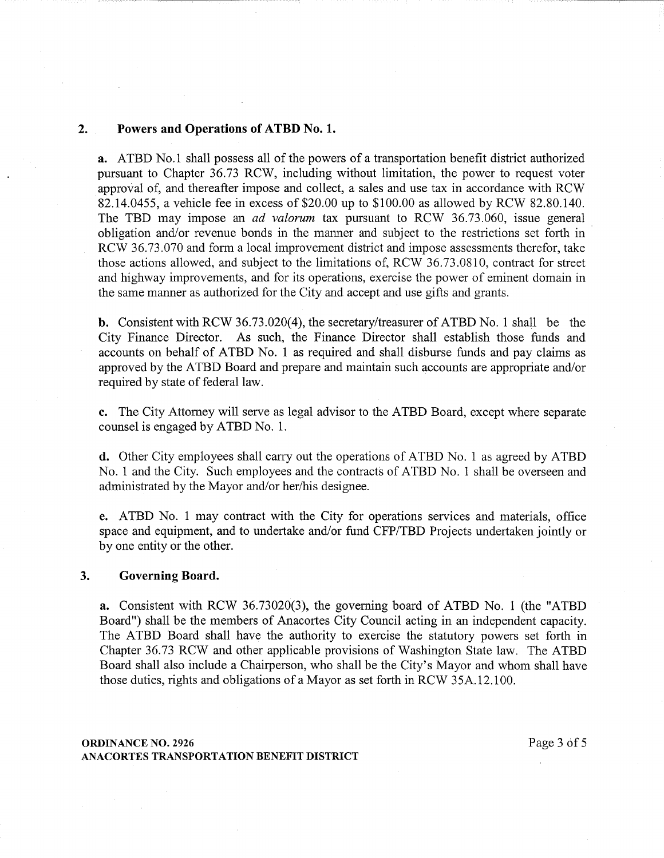#### **2. Powers and Operations of ATBD No.1.**

a. ATBD No.1 shall possess all of the powers of a transportation benefit district authorized pursuant to Chapter 36.73 RCW, including without limitation, the power to request voter approval of, and thereafter impose and collect, a sales and use tax in accordance with RCW 82.14.0455, a vehicle fee in excess of \$20.00 up to \$100.00 as allowed by RCW 82.80.140. The TBD may impose an *ad valorum* tax pursuant to RCW 36.73.060, issue general obligation and/or revenue bonds in the manner and subject to the restrictions set forth in RCW 36.73.070 and form a local improvement district and impose assessments therefor, take those actions allowed, and subject to the limitations of, RCW 36.73.0810, contract for street and highway improvements, and for its operations, exercise the power of eminent domain in the same manner as authorized for the City and accept and use gifts and grants.

**b.** Consistent with RCW 36.73.020(4), the secretary/treasurer of ATBD No. 1 shall be the City Finance Director. As such, the Finance Director shall establish those funds and accounts on behalf of ATBD No. 1 as required and shall disburse funds and pay claims as approved by the ATBD Board and prepare and maintain such accounts are appropriate and/or required by state of federal law.

**c.** The City Attorney will serve as legal advisor to the ATBD Board, except where separate counsel is engaged by ATBD No. 1.

**d.** Other City employees shall carry out the operations of ATBD No. 1 as agreed by ATBD No. 1 and the City. Such employees and the contracts of ATBD No. 1 shall be overseen and administrated by the Mayor and/or her/his designee.

e. ATBD No. 1 may contract with the City for operations services and materials, office space and equipment, and to undertake and/or fund CFP/TBD Projects undertaken jointly or by one entity or the other.

### **3. Governing Board.**

**a.** Consistent with RCW 36.73020(3), the governing board of ATBD No. 1 (the "ATBD Board") shall be the members of Anacortes City Council acting in an independent capacity. The ATBD Board shall have the authority to exercise the statutory powers set forth in Chapter 36.73 RCW and other applicable provisions of Washington State law. The ATBD Board shall also include a Chairperson, who shall be the City's Mayor and whom shall have those duties, rights and obligations of a Mayor as set forth in RCW 35A.12.100.

### **ORDINANCE NO. 2926** Page 3 of 5 ANACORTES TRANSPORTATION BENEFIT DISTRICT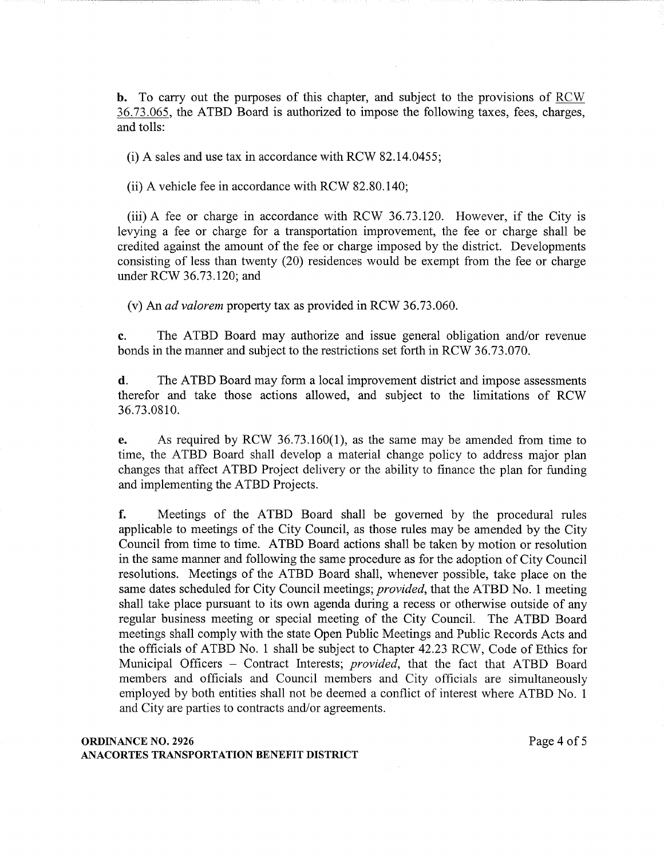b. To carry out the purposes of this chapter, and subject to the provisions of RCW 36.73.065, the ATBD Board is authorized to impose the following taxes, fees, charges, and tolls:

(i) A sales and use tax in accordance with RCW 82.14.0455;

(ii) A vehicle fee in accordance with RCW 82.80.140;

(iii) A fee or charge in accordance with RCW 36.73.120. However, if the City is levying a fee or charge for a transportation improvement, the fee or charge shall be credited against the amount of the fee or charge imposed by the district. Developments consisting of less than twenty (20) residences would be exempt from the fee or charge under RCW 36.73.120; and

(v) An *ad valorem* property tax as provided in RCW 36.73.060.

c. The ATBD Board may authorize and issue general obligation and/or revenue bonds in the manner and subject to the restrictions set forth in RCW 36.73.070.

d. The ATBD Board may form a local improvement district and impose assessments therefor and take those actions allowed, and subject to the limitations of RCW 36.73.0810.

e. As required by RCW 36.73.160(1), as the same may be amended from time to time, the ATBD Board shall develop a material change policy to address major plan changes that affect ATBD Project delivery or the ability to finance the plan for funding and implementing the ATBD Projects.

f. Meetings of the ATBD Board shall be governed by the procedural rules applicable to meetings of the City Council, as those rules may be amended by the City Council from time to time. ATBD Board actions shall be taken by motion or resolution in the same manner and following the same procedure as for the adoption of City Council resolutions. Meetings of the ATBD Board shall, whenever possible, take place on the same dates scheduled for City Council meetings; *provided,* that the ATBD No. 1 meeting shall take place pursuant to its own agenda during a recess or otherwise outside of any regular business meeting or special meeting of the City Council. The ATBD Board meetings shall comply with the state Open Public Meetings and Public Records Acts and the officials of ATBD No. 1 shall be subject to Chapter 42.23 RCW, Code of Ethics for Municipal Officers - Contract Interests; *provided*, that the fact that ATBD Board members and officials and Council members and City officials are simultaneously employed by both entities shall not be deemed a conflict of interest where ATBD No. 1 and City are parties to contracts and/or agreements.

# **ORDINANCE NO. 2926** Page 4 of 5 ANACORTES TRANSPORTATION BENEFIT DISTRICT